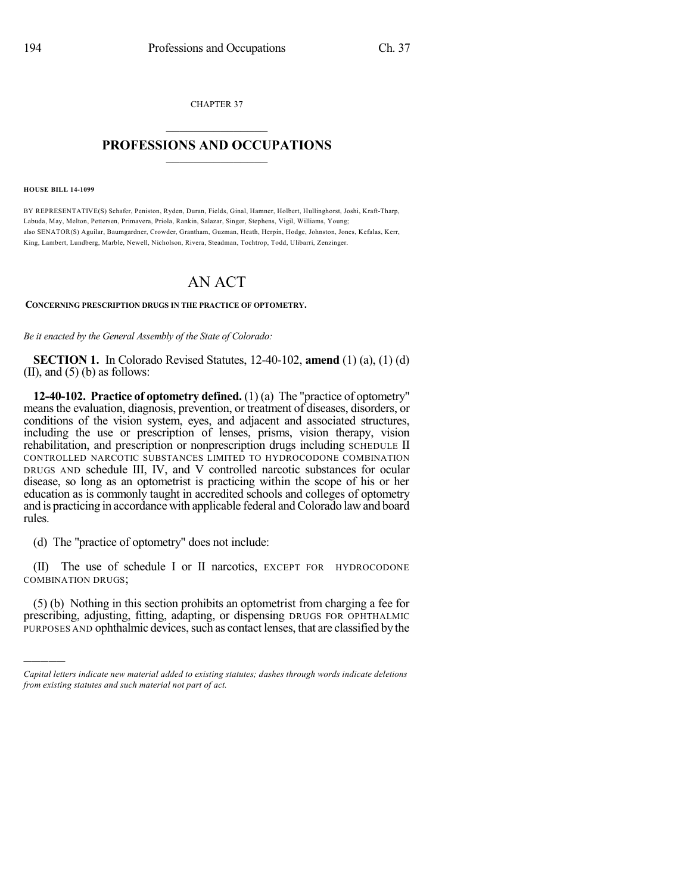CHAPTER 37  $\mathcal{L}_\text{max}$  . The set of the set of the set of the set of the set of the set of the set of the set of the set of the set of the set of the set of the set of the set of the set of the set of the set of the set of the set

## **PROFESSIONS AND OCCUPATIONS**  $\frac{1}{2}$  ,  $\frac{1}{2}$  ,  $\frac{1}{2}$  ,  $\frac{1}{2}$  ,  $\frac{1}{2}$  ,  $\frac{1}{2}$  ,  $\frac{1}{2}$

**HOUSE BILL 14-1099**

)))))

BY REPRESENTATIVE(S) Schafer, Peniston, Ryden, Duran, Fields, Ginal, Hamner, Holbert, Hullinghorst, Joshi, Kraft-Tharp, Labuda, May, Melton, Pettersen, Primavera, Priola, Rankin, Salazar, Singer, Stephens, Vigil, Williams, Young; also SENATOR(S) Aguilar, Baumgardner, Crowder, Grantham, Guzman, Heath, Herpin, Hodge, Johnston, Jones, Kefalas, Kerr, King, Lambert, Lundberg, Marble, Newell, Nicholson, Rivera, Steadman, Tochtrop, Todd, Ulibarri, Zenzinger.

## AN ACT

## **CONCERNING PRESCRIPTION DRUGS IN THE PRACTICE OF OPTOMETRY.**

*Be it enacted by the General Assembly of the State of Colorado:*

**SECTION 1.** In Colorado Revised Statutes, 12-40-102, **amend** (1) (a), (1) (d) (II), and  $(5)$  (b) as follows:

**12-40-102. Practice of optometry defined.** (1) (a) The "practice of optometry" meansthe evaluation, diagnosis, prevention, or treatment of diseases, disorders, or conditions of the vision system, eyes, and adjacent and associated structures, including the use or prescription of lenses, prisms, vision therapy, vision rehabilitation, and prescription or nonprescription drugs including SCHEDULE II CONTROLLED NARCOTIC SUBSTANCES LIMITED TO HYDROCODONE COMBINATION DRUGS AND schedule III, IV, and V controlled narcotic substances for ocular disease, so long as an optometrist is practicing within the scope of his or her education as is commonly taught in accredited schools and colleges of optometry and is practicing in accordance with applicable federal and Colorado law and board rules.

(d) The "practice of optometry" does not include:

(II) The use of schedule I or II narcotics, EXCEPT FOR HYDROCODONE COMBINATION DRUGS;

(5) (b) Nothing in this section prohibits an optometrist from charging a fee for prescribing, adjusting, fitting, adapting, or dispensing DRUGS FOR OPHTHALMIC PURPOSES AND ophthalmic devices, such as contact lenses, that are classified by the

*Capital letters indicate new material added to existing statutes; dashes through words indicate deletions from existing statutes and such material not part of act.*